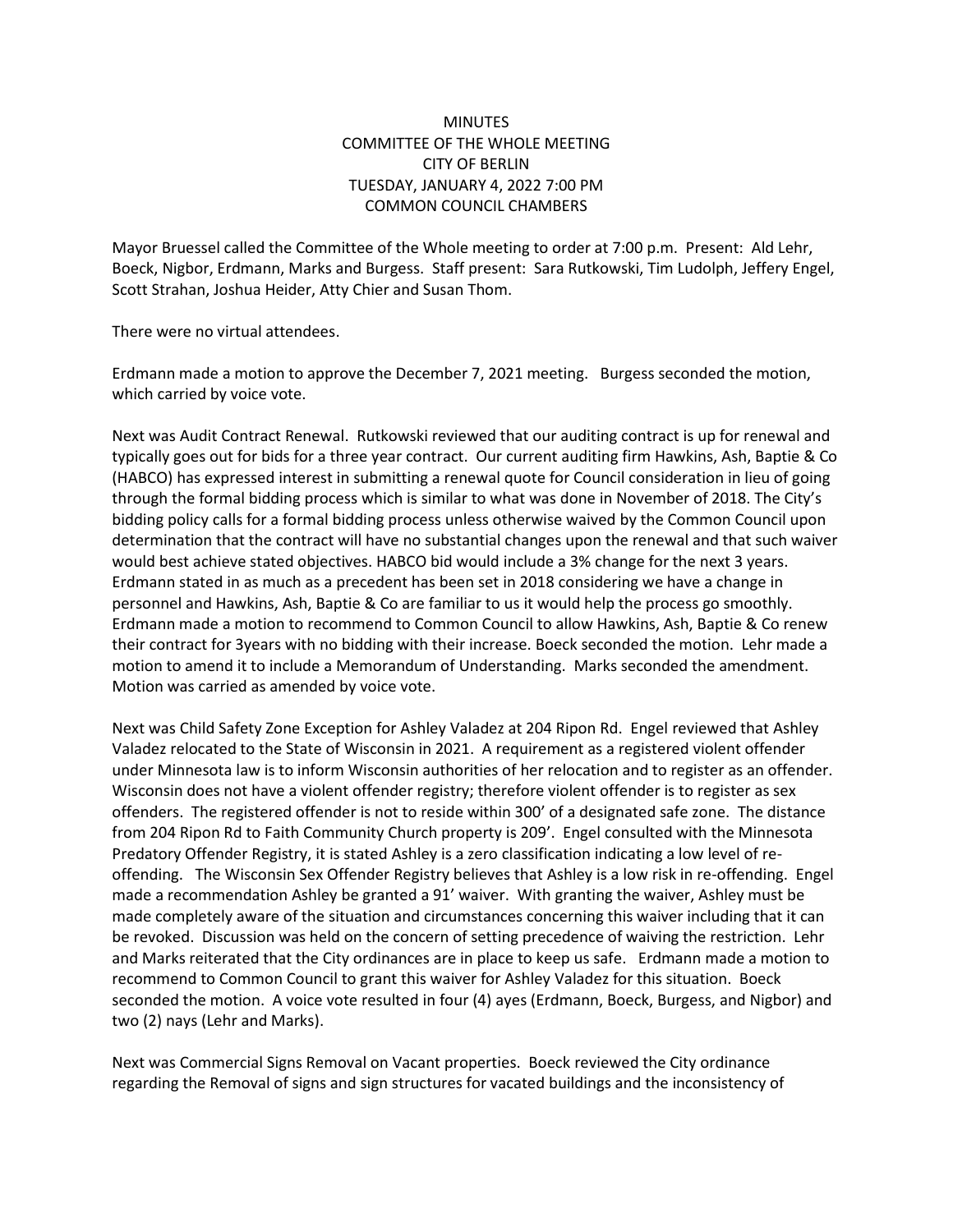## **MINUTES** COMMITTEE OF THE WHOLE MEETING CITY OF BERLIN TUESDAY, JANUARY 4, 2022 7:00 PM COMMON COUNCIL CHAMBERS

Mayor Bruessel called the Committee of the Whole meeting to order at 7:00 p.m. Present: Ald Lehr, Boeck, Nigbor, Erdmann, Marks and Burgess. Staff present: Sara Rutkowski, Tim Ludolph, Jeffery Engel, Scott Strahan, Joshua Heider, Atty Chier and Susan Thom.

There were no virtual attendees.

Erdmann made a motion to approve the December 7, 2021 meeting. Burgess seconded the motion, which carried by voice vote.

Next was Audit Contract Renewal. Rutkowski reviewed that our auditing contract is up for renewal and typically goes out for bids for a three year contract. Our current auditing firm Hawkins, Ash, Baptie & Co (HABCO) has expressed interest in submitting a renewal quote for Council consideration in lieu of going through the formal bidding process which is similar to what was done in November of 2018. The City's bidding policy calls for a formal bidding process unless otherwise waived by the Common Council upon determination that the contract will have no substantial changes upon the renewal and that such waiver would best achieve stated objectives. HABCO bid would include a 3% change for the next 3 years. Erdmann stated in as much as a precedent has been set in 2018 considering we have a change in personnel and Hawkins, Ash, Baptie & Co are familiar to us it would help the process go smoothly. Erdmann made a motion to recommend to Common Council to allow Hawkins, Ash, Baptie & Co renew their contract for 3years with no bidding with their increase. Boeck seconded the motion. Lehr made a motion to amend it to include a Memorandum of Understanding. Marks seconded the amendment. Motion was carried as amended by voice vote.

Next was Child Safety Zone Exception for Ashley Valadez at 204 Ripon Rd. Engel reviewed that Ashley Valadez relocated to the State of Wisconsin in 2021. A requirement as a registered violent offender under Minnesota law is to inform Wisconsin authorities of her relocation and to register as an offender. Wisconsin does not have a violent offender registry; therefore violent offender is to register as sex offenders. The registered offender is not to reside within 300' of a designated safe zone. The distance from 204 Ripon Rd to Faith Community Church property is 209'. Engel consulted with the Minnesota Predatory Offender Registry, it is stated Ashley is a zero classification indicating a low level of reoffending. The Wisconsin Sex Offender Registry believes that Ashley is a low risk in re-offending. Engel made a recommendation Ashley be granted a 91' waiver. With granting the waiver, Ashley must be made completely aware of the situation and circumstances concerning this waiver including that it can be revoked. Discussion was held on the concern of setting precedence of waiving the restriction. Lehr and Marks reiterated that the City ordinances are in place to keep us safe. Erdmann made a motion to recommend to Common Council to grant this waiver for Ashley Valadez for this situation. Boeck seconded the motion. A voice vote resulted in four (4) ayes (Erdmann, Boeck, Burgess, and Nigbor) and two (2) nays (Lehr and Marks).

Next was Commercial Signs Removal on Vacant properties. Boeck reviewed the City ordinance regarding the Removal of signs and sign structures for vacated buildings and the inconsistency of